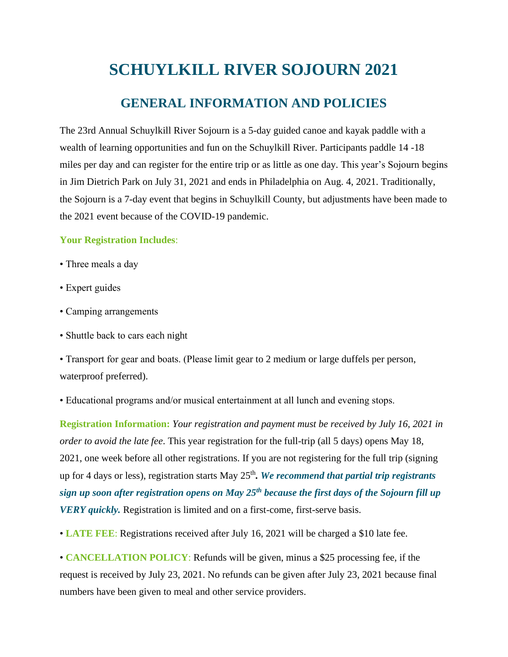## **SCHUYLKILL RIVER SOJOURN 2021**

## **GENERAL INFORMATION AND POLICIES**

The 23rd Annual Schuylkill River Sojourn is a 5-day guided canoe and kayak paddle with a wealth of learning opportunities and fun on the Schuylkill River. Participants paddle 14 -18 miles per day and can register for the entire trip or as little as one day. This year's Sojourn begins in Jim Dietrich Park on July 31, 2021 and ends in Philadelphia on Aug. 4, 2021. Traditionally, the Sojourn is a 7-day event that begins in Schuylkill County, but adjustments have been made to the 2021 event because of the COVID-19 pandemic.

## **Your Registration Includes**:

- Three meals a day
- Expert guides
- Camping arrangements
- Shuttle back to cars each night

• Transport for gear and boats. (Please limit gear to 2 medium or large duffels per person, waterproof preferred).

• Educational programs and/or musical entertainment at all lunch and evening stops.

**Registration Information:** *Your registration and payment must be received by July 16, 2021 in order to avoid the late fee*. This year registration for the full-trip (all 5 days) opens May 18, 2021, one week before all other registrations. If you are not registering for the full trip (signing up for 4 days or less), registration starts May 25th *. We recommend that partial trip registrants sign up soon after registration opens on May 25th because the first days of the Sojourn fill up VERY quickly.* Registration is limited and on a first-come, first-serve basis.

• **LATE FEE**: Registrations received after July 16, 2021 will be charged a \$10 late fee.

• **CANCELLATION POLICY**: Refunds will be given, minus a \$25 processing fee, if the request is received by July 23, 2021. No refunds can be given after July 23, 2021 because final numbers have been given to meal and other service providers.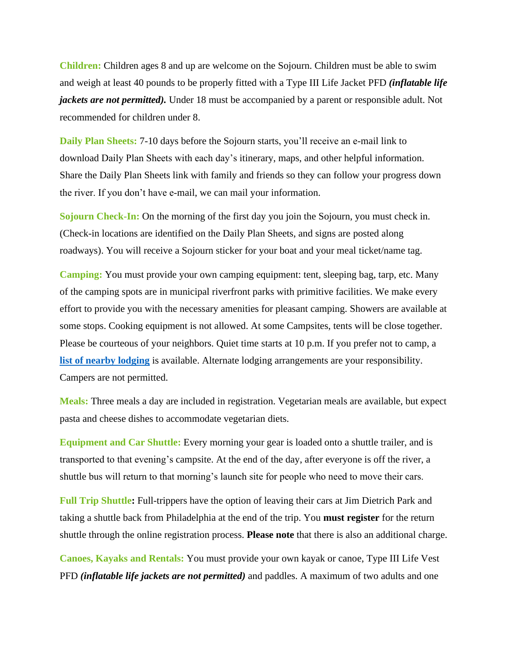**Children:** Children ages 8 and up are welcome on the Sojourn. Children must be able to swim and weigh at least 40 pounds to be properly fitted with a Type III Life Jacket PFD *(inflatable life jackets are not permitted).* Under 18 must be accompanied by a parent or responsible adult. Not recommended for children under 8.

**Daily Plan Sheets:** 7-10 days before the Sojourn starts, you'll receive an e-mail link to download Daily Plan Sheets with each day's itinerary, maps, and other helpful information. Share the Daily Plan Sheets link with family and friends so they can follow your progress down the river. If you don't have e-mail, we can mail your information.

**Sojourn Check-In:** On the morning of the first day you join the Sojourn, you must check in. (Check-in locations are identified on the Daily Plan Sheets, and signs are posted along roadways). You will receive a Sojourn sticker for your boat and your meal ticket/name tag.

**Camping:** You must provide your own camping equipment: tent, sleeping bag, tarp, etc. Many of the camping spots are in municipal riverfront parks with primitive facilities. We make every effort to provide you with the necessary amenities for pleasant camping. Showers are available at some stops. Cooking equipment is not allowed. At some Campsites, tents will be close together. Please be courteous of your neighbors. Quiet time starts at 10 p.m. If you prefer not to camp, a **[list of nearby lodging](https://schuylkillriver.org/wp-content/uploads/2019/03/Sojourn-Lodging-Suggestions.pdf)** is available. Alternate lodging arrangements are your responsibility. Campers are not permitted.

**Meals:** Three meals a day are included in registration. Vegetarian meals are available, but expect pasta and cheese dishes to accommodate vegetarian diets.

**Equipment and Car Shuttle:** Every morning your gear is loaded onto a shuttle trailer, and is transported to that evening's campsite. At the end of the day, after everyone is off the river, a shuttle bus will return to that morning's launch site for people who need to move their cars.

**Full Trip Shuttle:** Full-trippers have the option of leaving their cars at Jim Dietrich Park and taking a shuttle back from Philadelphia at the end of the trip. You **must register** for the return shuttle through the online registration process. **Please note** that there is also an additional charge.

**Canoes, Kayaks and Rentals:** You must provide your own kayak or canoe, Type III Life Vest PFD *(inflatable life jackets are not permitted)* and paddles. A maximum of two adults and one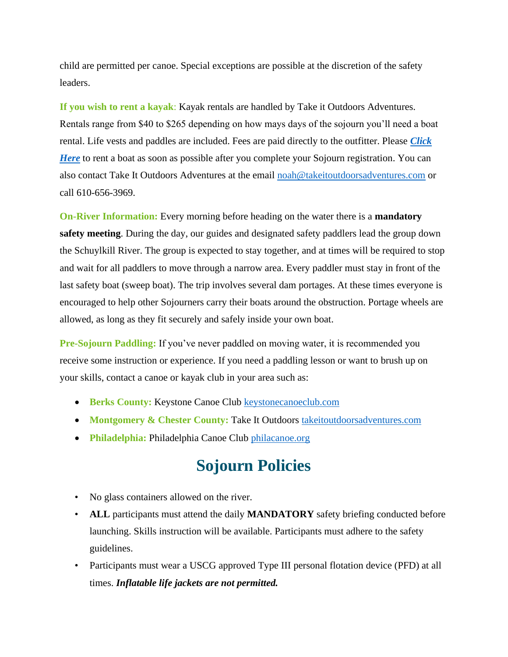child are permitted per canoe. Special exceptions are possible at the discretion of the safety leaders.

**If you wish to rent a kayak**: Kayak rentals are handled by Take it Outdoors Adventures. Rentals range from \$40 to \$265 depending on how mays days of the sojourn you'll need a boat rental. Life vests and paddles are included. Fees are paid directly to the outfitter. Please *[Click](https://tio-llc.square.site/)  [Here](https://tio-llc.square.site/)* to rent a boat as soon as possible after you complete your Sojourn registration. You can also contact Take It Outdoors Adventures at the email [noah@takeitoutdoorsadventures.com](mailto:noah@takeitoutdoorsadventures.com) or call 610-656-3969.

**On-River Information:** Every morning before heading on the water there is a **mandatory safety meeting**. During the day, our guides and designated safety paddlers lead the group down the Schuylkill River. The group is expected to stay together, and at times will be required to stop and wait for all paddlers to move through a narrow area. Every paddler must stay in front of the last safety boat (sweep boat). The trip involves several dam portages. At these times everyone is encouraged to help other Sojourners carry their boats around the obstruction. Portage wheels are allowed, as long as they fit securely and safely inside your own boat.

**Pre-Sojourn Paddling:** If you've never paddled on moving water, it is recommended you receive some instruction or experience. If you need a paddling lesson or want to brush up on your skills, contact a canoe or kayak club in your area such as:

- **Berks County:** Keystone Canoe Club [keystonecanoeclub.com](http://www.keystonecanoeclub.com/)
- **Montgomery & Chester County: Take It Outdoors [takeitoutdoorsadventures.com](http://www.takeitoutdoorsadventures.com/)**
- **Philadelphia:** Philadelphia Canoe Club [philacanoe.org](http://www.philacanoe.org/)

## **Sojourn Policies**

- No glass containers allowed on the river.
- **ALL** participants must attend the daily **MANDATORY** safety briefing conducted before launching. Skills instruction will be available. Participants must adhere to the safety guidelines.
- Participants must wear a USCG approved Type III personal flotation device (PFD) at all times. *Inflatable life jackets are not permitted.*